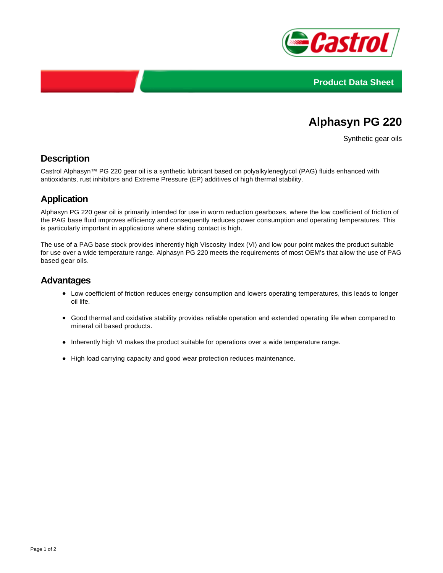



# **Alphasyn PG 220**

Synthetic gear oils

## **Description**

Castrol Alphasyn™ PG 220 gear oil is a synthetic lubricant based on polyalkyleneglycol (PAG) fluids enhanced with antioxidants, rust inhibitors and Extreme Pressure (EP) additives of high thermal stability.

## **Application**

Alphasyn PG 220 gear oil is primarily intended for use in worm reduction gearboxes, where the low coefficient of friction of the PAG base fluid improves efficiency and consequently reduces power consumption and operating temperatures. This is particularly important in applications where sliding contact is high.

The use of a PAG base stock provides inherently high Viscosity Index (VI) and low pour point makes the product suitable for use over a wide temperature range. Alphasyn PG 220 meets the requirements of most OEM's that allow the use of PAG based gear oils.

#### **Advantages**

- Low coefficient of friction reduces energy consumption and lowers operating temperatures, this leads to longer oil life.
- Good thermal and oxidative stability provides reliable operation and extended operating life when compared to mineral oil based products.
- Inherently high VI makes the product suitable for operations over a wide temperature range.
- High load carrying capacity and good wear protection reduces maintenance.